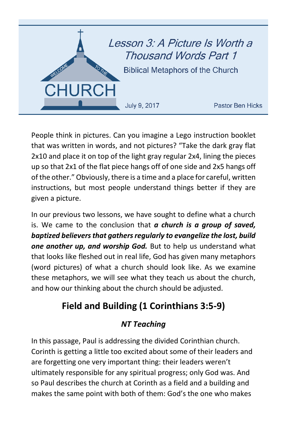

People think in pictures. Can you imagine a Lego instruction booklet that was written in words, and not pictures? "Take the dark gray flat 2x10 and place it on top of the light gray regular 2x4, lining the pieces up so that 2x1 of the flat piece hangs off of one side and 2x5 hangs off of the other." Obviously, there is a time and a place for careful, written instructions, but most people understand things better if they are given a picture.

In our previous two lessons, we have sought to define what a church is. We came to the conclusion that *a church is a group of saved, baptized believers that gathers regularly to evangelize the lost, build one another up, and worship God.* But to help us understand what that looks like fleshed out in real life, God has given many metaphors (word pictures) of what a church should look like. As we examine these metaphors, we will see what they teach us about the church, and how our thinking about the church should be adjusted.

# **Field and Building (1 Corinthians 3:5-9)**

### *NT Teaching*

In this passage, Paul is addressing the divided Corinthian church. Corinth is getting a little too excited about some of their leaders and are forgetting one very important thing: their leaders weren't ultimately responsible for any spiritual progress; only God was. And so Paul describes the church at Corinth as a field and a building and makes the same point with both of them: God's the one who makes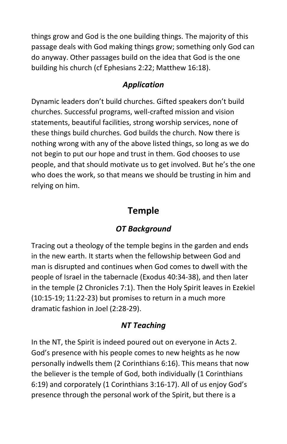things grow and God is the one building things. The majority of this passage deals with God making things grow; something only God can do anyway. Other passages build on the idea that God is the one building his church (cf Ephesians 2:22; Matthew 16:18).

### *Application*

Dynamic leaders don't build churches. Gifted speakers don't build churches. Successful programs, well-crafted mission and vision statements, beautiful facilities, strong worship services, none of these things build churches. God builds the church. Now there is nothing wrong with any of the above listed things, so long as we do not begin to put our hope and trust in them. God chooses to use people, and that should motivate us to get involved. But he's the one who does the work, so that means we should be trusting in him and relying on him.

# **Temple**

### *OT Background*

Tracing out a theology of the temple begins in the garden and ends in the new earth. It starts when the fellowship between God and man is disrupted and continues when God comes to dwell with the people of Israel in the tabernacle (Exodus 40:34-38), and then later in the temple (2 Chronicles 7:1). Then the Holy Spirit leaves in Ezekiel (10:15-19; 11:22-23) but promises to return in a much more dramatic fashion in Joel (2:28-29).

### *NT Teaching*

In the NT, the Spirit is indeed poured out on everyone in Acts 2. God's presence with his people comes to new heights as he now personally indwells them (2 Corinthians 6:16). This means that now the believer is the temple of God, both individually (1 Corinthians 6:19) and corporately (1 Corinthians 3:16-17). All of us enjoy God's presence through the personal work of the Spirit, but there is a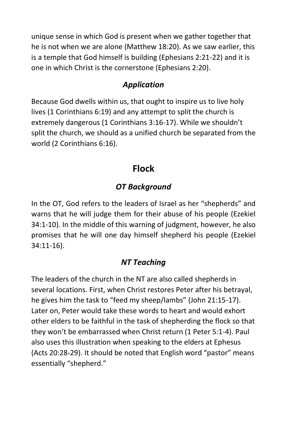unique sense in which God is present when we gather together that he is not when we are alone (Matthew 18:20). As we saw earlier, this is a temple that God himself is building (Ephesians 2:21-22) and it is one in which Christ is the cornerstone (Ephesians 2:20).

### *Application*

Because God dwells within us, that ought to inspire us to live holy lives (1 Corinthians 6:19) and any attempt to split the church is extremely dangerous (1 Corinthians 3:16-17). While we shouldn't split the church, we should as a unified church be separated from the world (2 Corinthians 6:16).

# **Flock**

## *OT Background*

In the OT, God refers to the leaders of Israel as her "shepherds" and warns that he will judge them for their abuse of his people (Ezekiel 34:1-10). In the middle of this warning of judgment, however, he also promises that he will one day himself shepherd his people (Ezekiel 34:11-16).

### *NT Teaching*

The leaders of the church in the NT are also called shepherds in several locations. First, when Christ restores Peter after his betrayal, he gives him the task to "feed my sheep/lambs" (John 21:15-17). Later on, Peter would take these words to heart and would exhort other elders to be faithful in the task of shepherding the flock so that they won't be embarrassed when Christ return (1 Peter 5:1-4). Paul also uses this illustration when speaking to the elders at Ephesus (Acts 20:28-29). It should be noted that English word "pastor" means essentially "shepherd."